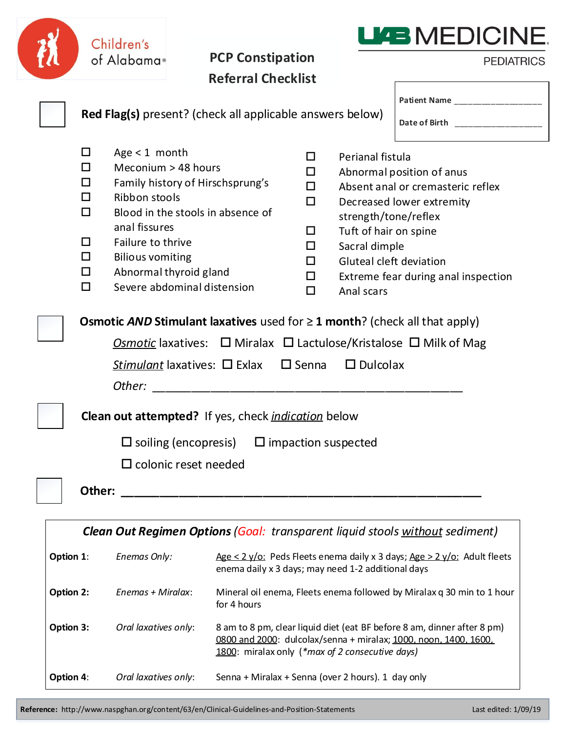|                                                                                     |                                                                                       | Children's<br>of Alabama®                                                                                                                          | <b>PCP Constipation</b>                                                                                                                                                                                                                                                                                                    |                                                                                                                                                                                                |                                                                                                                                                | <b>LIAB MEDICINE</b><br><b>PEDIATRICS</b>                                                                                          |  |  |  |
|-------------------------------------------------------------------------------------|---------------------------------------------------------------------------------------|----------------------------------------------------------------------------------------------------------------------------------------------------|----------------------------------------------------------------------------------------------------------------------------------------------------------------------------------------------------------------------------------------------------------------------------------------------------------------------------|------------------------------------------------------------------------------------------------------------------------------------------------------------------------------------------------|------------------------------------------------------------------------------------------------------------------------------------------------|------------------------------------------------------------------------------------------------------------------------------------|--|--|--|
|                                                                                     |                                                                                       |                                                                                                                                                    | <b>Referral Checklist</b>                                                                                                                                                                                                                                                                                                  |                                                                                                                                                                                                |                                                                                                                                                |                                                                                                                                    |  |  |  |
|                                                                                     |                                                                                       |                                                                                                                                                    | <b>Red Flag(s)</b> present? (check all applicable answers below)                                                                                                                                                                                                                                                           |                                                                                                                                                                                                |                                                                                                                                                | Patient Name ___________________<br>Date of Birth ___________________                                                              |  |  |  |
|                                                                                     | 0<br>□<br>U<br>П<br>□<br>U<br>□<br>□<br>$\Box$                                        | Age $<$ 1 month<br>Meconium > 48 hours<br>Ribbon stools<br>anal fissures<br>Failure to thrive<br><b>Bilious vomiting</b><br>Abnormal thyroid gland | Family history of Hirschsprung's<br>Blood in the stools in absence of<br>Severe abdominal distension<br>Osmotic AND Stimulant laxatives used for $\geq 1$ month? (check all that apply)<br><b>Osmotic</b> laxatives: $\Box$ Miralax $\Box$ Lactulose/Kristalose $\Box$ Milk of Mag<br>Stimulant laxatives: □ Exlax □ Senna | $\Box$<br>□<br>□<br>$\Box$<br>$\Box$<br>□<br>□<br>□<br>$\Box$                                                                                                                                  | Perianal fistula<br>strength/tone/reflex<br>Tuft of hair on spine<br>Sacral dimple<br>Gluteal cleft deviation<br>Anal scars<br>$\Box$ Dulcolax | Abnormal position of anus<br>Absent anal or cremasteric reflex<br>Decreased lower extremity<br>Extreme fear during anal inspection |  |  |  |
| <b>Clean out attempted?</b> If yes, check <i>indication</i> below                   |                                                                                       |                                                                                                                                                    |                                                                                                                                                                                                                                                                                                                            |                                                                                                                                                                                                |                                                                                                                                                |                                                                                                                                    |  |  |  |
|                                                                                     | $\Box$ soiling (encopresis) $\Box$ impaction suspected<br>$\Box$ colonic reset needed |                                                                                                                                                    |                                                                                                                                                                                                                                                                                                                            |                                                                                                                                                                                                |                                                                                                                                                |                                                                                                                                    |  |  |  |
|                                                                                     | Other:                                                                                |                                                                                                                                                    |                                                                                                                                                                                                                                                                                                                            |                                                                                                                                                                                                |                                                                                                                                                |                                                                                                                                    |  |  |  |
| <b>Clean Out Regimen Options (Goal: transparent liquid stools without sediment)</b> |                                                                                       |                                                                                                                                                    |                                                                                                                                                                                                                                                                                                                            |                                                                                                                                                                                                |                                                                                                                                                |                                                                                                                                    |  |  |  |
| Option 1:<br>Enemas Only:                                                           |                                                                                       |                                                                                                                                                    |                                                                                                                                                                                                                                                                                                                            | $Age < 2 y/o$ : Peds Fleets enema daily x 3 days; $Age > 2 y/o$ : Adult fleets<br>enema daily x 3 days; may need 1-2 additional days                                                           |                                                                                                                                                |                                                                                                                                    |  |  |  |
| Option 2:                                                                           |                                                                                       | Enemas + Miralax:                                                                                                                                  | for 4 hours                                                                                                                                                                                                                                                                                                                | Mineral oil enema, Fleets enema followed by Miralax q 30 min to 1 hour                                                                                                                         |                                                                                                                                                |                                                                                                                                    |  |  |  |
| Option 3:                                                                           |                                                                                       | Oral laxatives only:                                                                                                                               |                                                                                                                                                                                                                                                                                                                            | 8 am to 8 pm, clear liquid diet (eat BF before 8 am, dinner after 8 pm)<br>0800 and 2000: dulcolax/senna + miralax; 1000, noon, 1400, 1600,<br>1800: miralax only (*max of 2 consecutive days) |                                                                                                                                                |                                                                                                                                    |  |  |  |

| Option 4: | Oral laxatives only: | Senna + Miralax + Senna (over 2 hours). 1 day only |  |  |
|-----------|----------------------|----------------------------------------------------|--|--|
|-----------|----------------------|----------------------------------------------------|--|--|